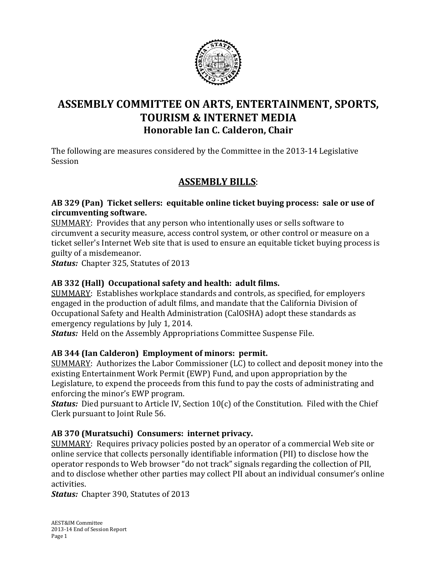

# **ASSEMBLY COMMITTEE ON ARTS, ENTERTAINMENT, SPORTS, TOURISM & INTERNET MEDIA Honorable Ian C. Calderon, Chair**

The following are measures considered by the Committee in the 2013-14 Legislative Session

## **ASSEMBLY BILLS**:

#### **AB 329 (Pan) Ticket sellers: equitable online ticket buying process: sale or use of circumventing software.**

SUMMARY: Provides that any person who intentionally uses or sells software to circumvent a security measure, access control system, or other control or measure on a ticket seller's Internet Web site that is used to ensure an equitable ticket buying process is guilty of a misdemeanor.

*Status:* Chapter 325, Statutes of 2013

### **AB 332 (Hall) Occupational safety and health: adult films.**

SUMMARY: Establishes workplace standards and controls, as specified, for employers engaged in the production of adult films, and mandate that the California Division of Occupational Safety and Health Administration (CalOSHA) adopt these standards as emergency regulations by July 1, 2014.

*Status:* Held on the Assembly Appropriations Committee Suspense File.

### **AB 344 (Ian Calderon) Employment of minors: permit.**

SUMMARY: Authorizes the Labor Commissioner (LC) to collect and deposit money into the existing Entertainment Work Permit (EWP) Fund, and upon appropriation by the Legislature, to expend the proceeds from this fund to pay the costs of administrating and enforcing the minor's EWP program.

**Status:** Died pursuant to Article IV, Section 10(c) of the Constitution. Filed with the Chief Clerk pursuant to Joint Rule 56.

### **AB 370 (Muratsuchi) Consumers: internet privacy.**

SUMMARY: Requires privacy policies posted by an operator of a commercial Web site or online service that collects personally identifiable information (PII) to disclose how the operator responds to Web browser "do not track" signals regarding the collection of PII, and to disclose whether other parties may collect PII about an individual consumer's online activities.

*Status:* Chapter 390, Statutes of 2013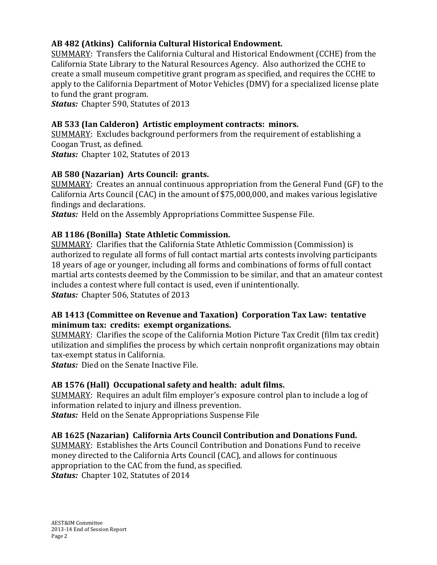### **AB 482 (Atkins) California Cultural Historical Endowment.**

SUMMARY: Transfers the California Cultural and Historical Endowment (CCHE) from the California State Library to the Natural Resources Agency. Also authorized the CCHE to create a small museum competitive grant program as specified, and requires the CCHE to apply to the California Department of Motor Vehicles (DMV) for a specialized license plate to fund the grant program.

*Status:* Chapter 590, Statutes of 2013

### **AB 533 (Ian Calderon) Artistic employment contracts: minors.**

SUMMARY: Excludes background performers from the requirement of establishing a Coogan Trust, as defined. *Status:* Chapter 102, Statutes of 2013

### **AB 580 (Nazarian) Arts Council: grants.**

SUMMARY: Creates an annual continuous appropriation from the General Fund (GF) to the California Arts Council (CAC) in the amount of \$75,000,000, and makes various legislative findings and declarations.

*Status:* Held on the Assembly Appropriations Committee Suspense File.

### **AB 1186 (Bonilla) State Athletic Commission.**

SUMMARY: Clarifies that the California State Athletic Commission (Commission) is authorized to regulate all forms of full contact martial arts contests involving participants 18 years of age or younger, including all forms and combinations of forms of full contact martial arts contests deemed by the Commission to be similar, and that an amateur contest includes a contest where full contact is used, even if unintentionally. *Status:* Chapter 506, Statutes of 2013

#### **AB 1413 (Committee on Revenue and Taxation) Corporation Tax Law: tentative minimum tax: credits: exempt organizations.**

SUMMARY: Clarifies the scope of the California Motion Picture Tax Credit (film tax credit) utilization and simplifies the process by which certain nonprofit organizations may obtain tax-exempt status in California.

*Status:* Died on the Senate Inactive File.

### **AB 1576 (Hall) Occupational safety and health: adult films.**

SUMMARY: Requires an adult film employer's exposure control plan to include a log of information related to injury and illness prevention. *Status:* Held on the Senate Appropriations Suspense File

### **AB 1625 (Nazarian) California Arts Council Contribution and Donations Fund.**

SUMMARY: Establishes the Arts Council Contribution and Donations Fund to receive money directed to the California Arts Council (CAC), and allows for continuous appropriation to the CAC from the fund, as specified.

*Status:* Chapter 102, Statutes of 2014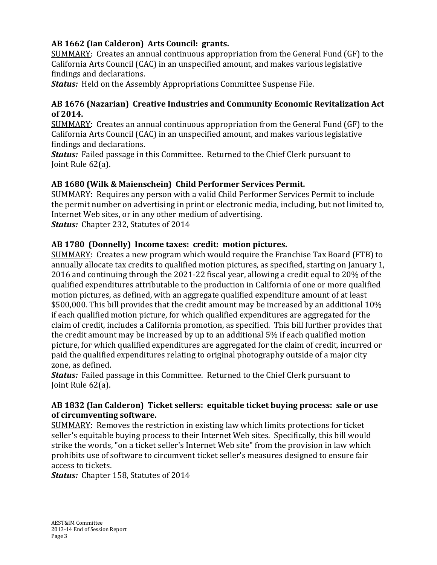### **AB 1662 (Ian Calderon) Arts Council: grants.**

SUMMARY: Creates an annual continuous appropriation from the General Fund (GF) to the California Arts Council (CAC) in an unspecified amount, and makes various legislative findings and declarations.

*Status:* Held on the Assembly Appropriations Committee Suspense File.

### **AB 1676 (Nazarian) Creative Industries and Community Economic Revitalization Act of 2014.**

SUMMARY: Creates an annual continuous appropriation from the General Fund (GF) to the California Arts Council (CAC) in an unspecified amount, and makes various legislative findings and declarations.

*Status:* Failed passage in this Committee. Returned to the Chief Clerk pursuant to Joint Rule 62(a).

### **AB 1680 (Wilk & Maienschein) Child Performer Services Permit.**

SUMMARY: Requires any person with a valid Child Performer Services Permit to include the permit number on advertising in print or electronic media, including, but not limited to, Internet Web sites, or in any other medium of advertising. *Status:* Chapter 232, Statutes of 2014

### **AB 1780 (Donnelly) Income taxes: credit: motion pictures.**

SUMMARY: Creates a new program which would require the Franchise Tax Board (FTB) to annually allocate tax credits to qualified motion pictures, as specified, starting on January 1, 2016 and continuing through the 2021-22 fiscal year, allowing a credit equal to 20% of the qualified expenditures attributable to the production in California of one or more qualified motion pictures, as defined, with an aggregate qualified expenditure amount of at least \$500,000. This bill provides that the credit amount may be increased by an additional 10% if each qualified motion picture, for which qualified expenditures are aggregated for the claim of credit, includes a California promotion, as specified. This bill further provides that the credit amount may be increased by up to an additional 5% if each qualified motion picture, for which qualified expenditures are aggregated for the claim of credit, incurred or paid the qualified expenditures relating to original photography outside of a major city zone, as defined.

*Status:* Failed passage in this Committee. Returned to the Chief Clerk pursuant to Joint Rule 62(a).

#### **AB 1832 (Ian Calderon) Ticket sellers: equitable ticket buying process: sale or use of circumventing software.**

SUMMARY: Removes the restriction in existing law which limits protections for ticket seller's equitable buying process to their Internet Web sites. Specifically, this bill would strike the words, "on a ticket seller's Internet Web site" from the provision in law which prohibits use of software to circumvent ticket seller's measures designed to ensure fair access to tickets.

*Status:* Chapter 158, Statutes of 2014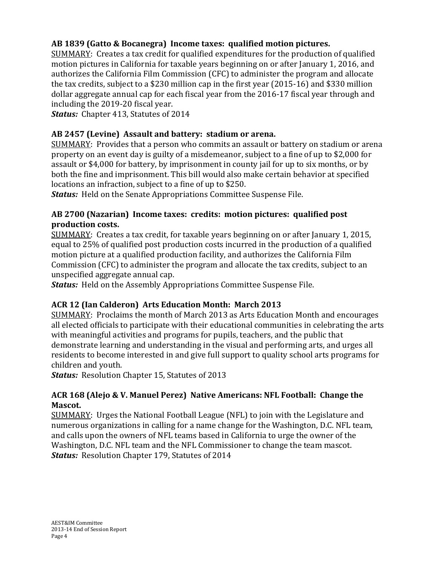### **AB 1839 (Gatto & Bocanegra) Income taxes: qualified motion pictures.**

SUMMARY: Creates a tax credit for qualified expenditures for the production of qualified motion pictures in California for taxable years beginning on or after January 1, 2016, and authorizes the California Film Commission (CFC) to administer the program and allocate the tax credits, subject to a \$230 million cap in the first year (2015-16) and \$330 million dollar aggregate annual cap for each fiscal year from the 2016-17 fiscal year through and including the 2019-20 fiscal year.

*Status:* Chapter 413, Statutes of 2014

### **AB 2457 (Levine) Assault and battery: stadium or arena.**

SUMMARY: Provides that a person who commits an assault or battery on stadium or arena property on an event day is guilty of a misdemeanor, subject to a fine of up to \$2,000 for assault or \$4,000 for battery, by imprisonment in county jail for up to six months, or by both the fine and imprisonment. This bill would also make certain behavior at specified locations an infraction, subject to a fine of up to \$250.

*Status:* Held on the Senate Appropriations Committee Suspense File.

### **AB 2700 (Nazarian) Income taxes: credits: motion pictures: qualified post production costs.**

SUMMARY: Creates a tax credit, for taxable years beginning on or after January 1, 2015, equal to 25% of qualified post production costs incurred in the production of a qualified motion picture at a qualified production facility, and authorizes the California Film Commission (CFC) to administer the program and allocate the tax credits, subject to an unspecified aggregate annual cap.

*Status:* Held on the Assembly Appropriations Committee Suspense File.

### **ACR 12 (Ian Calderon) Arts Education Month: March 2013**

SUMMARY: Proclaims the month of March 2013 as Arts Education Month and encourages all elected officials to participate with their educational communities in celebrating the arts with meaningful activities and programs for pupils, teachers, and the public that demonstrate learning and understanding in the visual and performing arts, and urges all residents to become interested in and give full support to quality school arts programs for children and youth.

*Status:* Resolution Chapter 15, Statutes of 2013

### **ACR 168 (Alejo & V. Manuel Perez) Native Americans: NFL Football: Change the Mascot.**

SUMMARY: Urges the National Football League (NFL) to join with the Legislature and numerous organizations in calling for a name change for the Washington, D.C. NFL team, and calls upon the owners of NFL teams based in California to urge the owner of the Washington, D.C. NFL team and the NFL Commissioner to change the team mascot. *Status:* Resolution Chapter 179, Statutes of 2014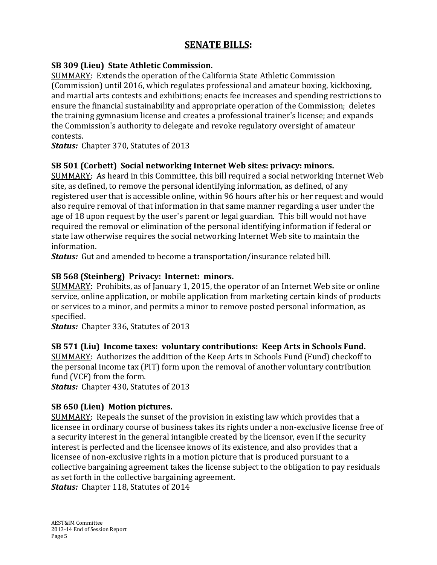## **SENATE BILLS:**

#### **SB 309 (Lieu) State Athletic Commission.**

SUMMARY: Extends the operation of the California State Athletic Commission (Commission) until 2016, which regulates professional and amateur boxing, kickboxing, and martial arts contests and exhibitions; enacts fee increases and spending restrictions to ensure the financial sustainability and appropriate operation of the Commission; deletes the training gymnasium license and creates a professional trainer's license; and expands the Commission's authority to delegate and revoke regulatory oversight of amateur contests.

*Status:* Chapter 370, Statutes of 2013

#### **SB 501 (Corbett) Social networking Internet Web sites: privacy: minors.**

SUMMARY: As heard in this Committee, this bill required a social networking Internet Web site, as defined, to remove the personal identifying information, as defined, of any registered user that is accessible online, within 96 hours after his or her request and would also require removal of that information in that same manner regarding a user under the age of 18 upon request by the user's parent or legal guardian. This bill would not have required the removal or elimination of the personal identifying information if federal or state law otherwise requires the social networking Internet Web site to maintain the information.

*Status:* Gut and amended to become a transportation/insurance related bill.

### **SB 568 (Steinberg) Privacy: Internet: minors.**

SUMMARY: Prohibits, as of January 1, 2015, the operator of an Internet Web site or online service, online application, or mobile application from marketing certain kinds of products or services to a minor, and permits a minor to remove posted personal information, as specified.

*Status:* Chapter 336, Statutes of 2013

### **SB 571 (Liu) Income taxes: voluntary contributions: Keep Arts in Schools Fund.**

SUMMARY: Authorizes the addition of the Keep Arts in Schools Fund (Fund) checkoff to the personal income tax (PIT) form upon the removal of another voluntary contribution fund (VCF) from the form.

*Status:* Chapter 430, Statutes of 2013

### **SB 650 (Lieu) Motion pictures.**

SUMMARY: Repeals the sunset of the provision in existing law which provides that a licensee in ordinary course of business takes its rights under a non-exclusive license free of a security interest in the general intangible created by the licensor, even if the security interest is perfected and the licensee knows of its existence, and also provides that a licensee of non-exclusive rights in a motion picture that is produced pursuant to a collective bargaining agreement takes the license subject to the obligation to pay residuals as set forth in the collective bargaining agreement.

*Status:* Chapter 118, Statutes of 2014